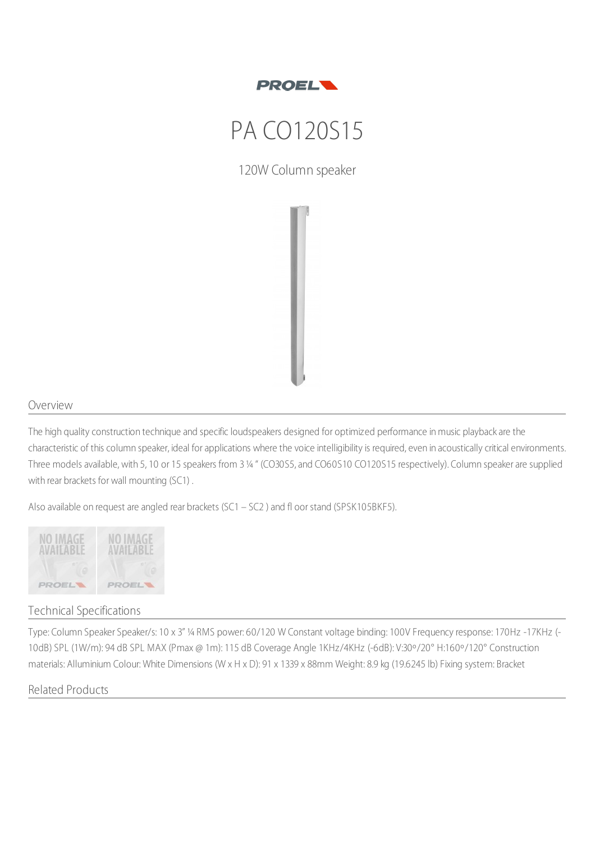

## PA CO120S15

120W Column speaker

## Overview

The high quality construction technique and specific loudspeakers designed for optimized performance in music playback are the characteristic of this column speaker, ideal for applications where the voice intelligibility is required, even in acoustically critical environments. Three models available, with 5, 10 or 15 speakers from 3¼ " (CO30S5, and CO60S10 CO120S15 respectively). Column speaker are supplied with rear brackets for wall mounting (SC1) .

Also available on request are angled rear brackets (SC1 – SC2 ) and fl oor stand (SPSK105BKF5).



## Technical Specifications

Type: Column Speaker Speaker/s: 10 x 3" ¼ RMS power: 60/120 W Constant voltage binding: 100V Frequency response: 170Hz -17KHz (- 10dB) SPL (1W/m): 94 dB SPL MAX (Pmax @ 1m): 115 dB Coverage Angle 1KHz/4KHz (-6dB): V:30º/20° H:160º/120° Construction materials: Alluminium Colour: White Dimensions (W x H x D): 91 x 1339 x 88mm Weight: 8.9 kg (19.6245 lb) Fixing system: Bracket

Related Products